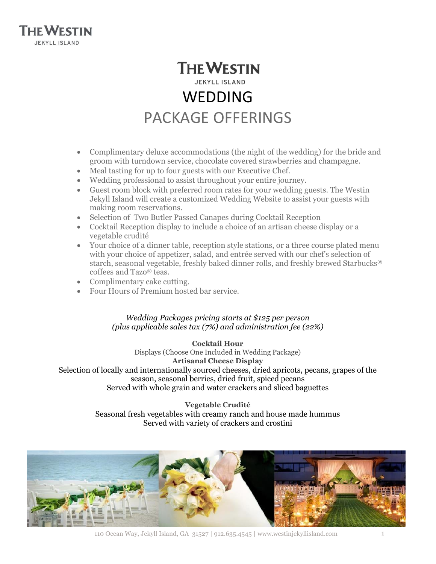

# **THE WESTIN JEKYLL ISLAND** WEDDING PACKAGE OFFERINGS

- Complimentary deluxe accommodations (the night of the wedding) for the bride and groom with turndown service, chocolate covered strawberries and champagne.
- Meal tasting for up to four guests with our Executive Chef.
- Wedding professional to assist throughout your entire journey.
- Guest room block with preferred room rates for your wedding guests. The Westin Jekyll Island will create a customized Wedding Website to assist your guests with making room reservations.
- Selection of Two Butler Passed Canapes during Cocktail Reception
- Cocktail Reception display to include a choice of an artisan cheese display or a vegetable crudité
- Your choice of a dinner table, reception style stations, or a three course plated menu with your choice of appetizer, salad, and entrée served with our chef's selection of starch, seasonal vegetable, freshly baked dinner rolls, and freshly brewed Starbucks® coffees and Tazo® teas.
- Complimentary cake cutting.
- Four Hours of Premium hosted bar service.

# *Wedding Packages pricing starts at \$125 per person (plus applicable sales tax (7%) and administration fee (22%)*

**Cocktail Hour** Displays (Choose One Included in Wedding Package) **Artisanal Cheese Display** Selection of locally and internationally sourced cheeses, dried apricots, pecans, grapes of the season, seasonal berries, dried fruit, spiced pecans Served with whole grain and water crackers and sliced baguettes

> **Vegetable Crudité** Seasonal fresh vegetables with creamy ranch and house made hummus Served with variety of crackers and crostini

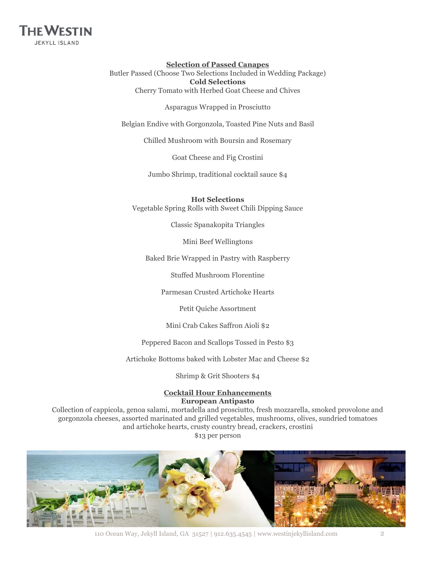

#### **Selection of Passed Canapes** Butler Passed (Choose Two Selections Included in Wedding Package) **Cold Selections**

Cherry Tomato with Herbed Goat Cheese and Chives

Asparagus Wrapped in Prosciutto

Belgian Endive with Gorgonzola, Toasted Pine Nuts and Basil

Chilled Mushroom with Boursin and Rosemary

Goat Cheese and Fig Crostini

Jumbo Shrimp, traditional cocktail sauce \$4

**Hot Selections**

Vegetable Spring Rolls with Sweet Chili Dipping Sauce

Classic Spanakopita Triangles

Mini Beef Wellingtons

Baked Brie Wrapped in Pastry with Raspberry

Stuffed Mushroom Florentine

Parmesan Crusted Artichoke Hearts

Petit Quiche Assortment

Mini Crab Cakes Saffron Aioli \$2

Peppered Bacon and Scallops Tossed in Pesto \$3

Artichoke Bottoms baked with Lobster Mac and Cheese \$2

Shrimp & Grit Shooters \$4

## **Cocktail Hour Enhancements European Antipasto**

Collection of cappicola, genoa salami, mortadella and prosciutto, fresh mozzarella, smoked provolone and gorgonzola cheeses, assorted marinated and grilled vegetables, mushrooms, olives, sundried tomatoes and artichoke hearts, crusty country bread, crackers, crostini \$13 per person



110 Ocean Way, Jekyll Island, GA 31527 | 912.635.4545 | www.westinjekyllisland.com 2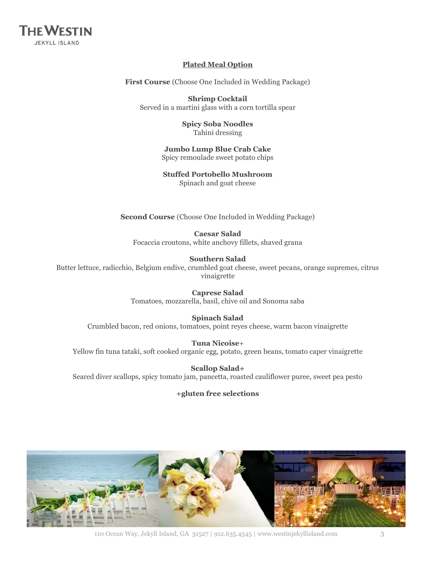

## **Plated Meal Option**

**First Course** (Choose One Included in Wedding Package)

**Shrimp Cocktail** Served in a martini glass with a corn tortilla spear

> **Spicy Soba Noodles** Tahini dressing

**Jumbo Lump Blue Crab Cake** Spicy remoulade sweet potato chips

**Stuffed Portobello Mushroom** Spinach and goat cheese

**Second Course** (Choose One Included in Wedding Package)

**Caesar Salad** Focaccia croutons, white anchovy fillets, shaved grana

**Southern Salad**

Butter lettuce, radicchio, Belgium endive, crumbled goat cheese, sweet pecans, orange supremes, citrus vinaigrette

> **Caprese Salad** Tomatoes, mozzarella, basil, chive oil and Sonoma saba

**Spinach Salad** Crumbled bacon, red onions, tomatoes, point reyes cheese, warm bacon vinaigrette

**Tuna Nicoise**+ Yellow fin tuna tataki, soft cooked organic egg, potato, green beans, tomato caper vinaigrette

**Scallop Salad+** Seared diver scallops, spicy tomato jam, pancetta, roasted cauliflower puree, sweet pea pesto

## **+gluten free selections**



110 Ocean Way, Jekyll Island, GA 31527 | 912.635.4545 | www.westinjekyllisland.com 3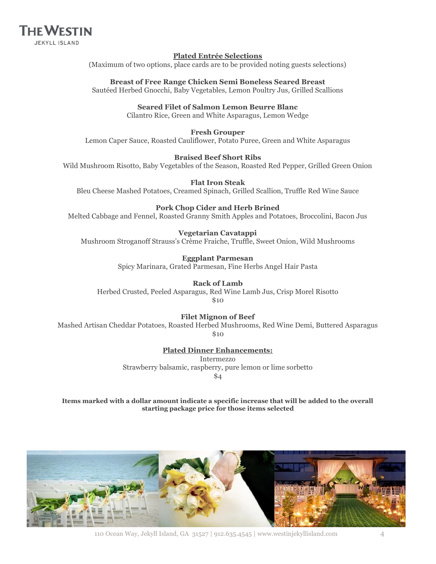

#### **Plated Entrée Selections**

(Maximum of two options, place cards are to be provided noting guests selections)

**Breast of Free Range Chicken Semi Boneless Seared Breast** Sautéed Herbed Gnocchi, Baby Vegetables, Lemon Poultry Jus, Grilled Scallions

**Seared Filet of Salmon Lemon Beurre Blanc**

Cilantro Rice, Green and White Asparagus, Lemon Wedge

## **Fresh Grouper**

Lemon Caper Sauce, Roasted Cauliflower, Potato Puree, Green and White Asparagus

## **Braised Beef Short Ribs**

Wild Mushroom Risotto, Baby Vegetables of the Season, Roasted Red Pepper, Grilled Green Onion

**Flat Iron Steak** Bleu Cheese Mashed Potatoes, Creamed Spinach, Grilled Scallion, Truffle Red Wine Sauce

## **Pork Chop Cider and Herb Brined**

Melted Cabbage and Fennel, Roasted Granny Smith Apples and Potatoes, Broccolini, Bacon Jus

## **Vegetarian Cavatappi**

Mushroom Stroganoff Strauss's Crème Fraiche, Truffle, Sweet Onion, Wild Mushrooms

## **Eggplant Parmesan**

Spicy Marinara, Grated Parmesan, Fine Herbs Angel Hair Pasta

## **Rack of Lamb**

Herbed Crusted, Peeled Asparagus, Red Wine Lamb Jus, Crisp Morel Risotto

\$10

## **Filet Mignon of Beef**

Mashed Artisan Cheddar Potatoes, Roasted Herbed Mushrooms, Red Wine Demi, Buttered Asparagus \$10

# **Plated Dinner Enhancements:**

Intermezzo Strawberry balsamic, raspberry, pure lemon or lime sorbetto \$4

**Items marked with a dollar amount indicate a specific increase that will be added to the overall starting package price for those items selected**

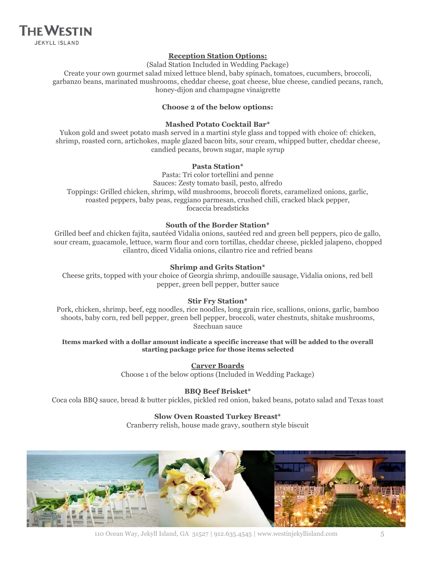

#### **Reception Station Options:**

(Salad Station Included in Wedding Package)

Create your own gourmet salad mixed lettuce blend, baby spinach, tomatoes, cucumbers, broccoli, garbanzo beans, marinated mushrooms, cheddar cheese, goat cheese, blue cheese, candied pecans, ranch, honey-dijon and champagne vinaigrette

#### **Choose 2 of the below options:**

#### **Mashed Potato Cocktail Bar\***

Yukon gold and sweet potato mash served in a martini style glass and topped with choice of: chicken, shrimp, roasted corn, artichokes, maple glazed bacon bits, sour cream, whipped butter, cheddar cheese, candied pecans, brown sugar, maple syrup

#### **Pasta Station\***

Pasta: Tri color tortellini and penne Sauces: Zesty tomato basil, pesto, alfredo Toppings: Grilled chicken, shrimp, wild mushrooms, broccoli florets, caramelized onions, garlic, roasted peppers, baby peas, reggiano parmesan, crushed chili, cracked black pepper, focaccia breadsticks

#### **South of the Border Station\***

Grilled beef and chicken fajita, sautéed Vidalia onions, sautéed red and green bell peppers, pico de gallo, sour cream, guacamole, lettuce, warm flour and corn tortillas, cheddar cheese, pickled jalapeno, chopped cilantro, diced Vidalia onions, cilantro rice and refried beans

#### **Shrimp and Grits Station\***

Cheese grits, topped with your choice of Georgia shrimp, andouille sausage, Vidalia onions, red bell pepper, green bell pepper, butter sauce

#### **Stir Fry Station\***

Pork, chicken, shrimp, beef, egg noodles, rice noodles, long grain rice, scallions, onions, garlic, bamboo shoots, baby corn, red bell pepper, green bell pepper, broccoli, water chestnuts, shitake mushrooms, Szechuan sauce

#### **Items marked with a dollar amount indicate a specific increase that will be added to the overall starting package price for those items selected**

**Carver Boards** Choose 1 of the below options (Included in Wedding Package)

## **BBQ Beef Brisket\***

Coca cola BBQ sauce, bread & butter pickles, pickled red onion, baked beans, potato salad and Texas toast

#### **Slow Oven Roasted Turkey Breast\***

Cranberry relish, house made gravy, southern style biscuit



110 Ocean Way, Jekyll Island, GA 31527 | 912.635.4545 | www.westinjekyllisland.com 5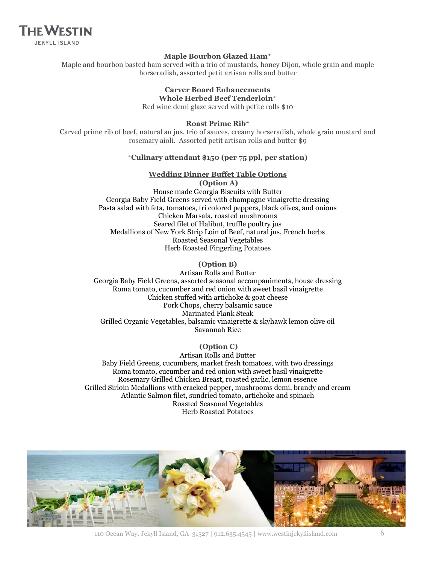**THE WESTIN JEKYLL ISLAND** 

#### **Maple Bourbon Glazed Ham\***

Maple and bourbon basted ham served with a trio of mustards, honey Dijon, whole grain and maple horseradish, assorted petit artisan rolls and butter

#### **Carver Board Enhancements Whole Herbed Beef Tenderloin\***

Red wine demi glaze served with petite rolls \$10

#### **Roast Prime Rib\***

Carved prime rib of beef, natural au jus, trio of sauces, creamy horseradish, whole grain mustard and rosemary aioli. Assorted petit artisan rolls and butter \$9

#### **\*Culinary attendant \$150 (per 75 ppl, per station)**

#### **Wedding Dinner Buffet Table Options**

**(Option A)** House made Georgia Biscuits with Butter Georgia Baby Field Greens served with champagne vinaigrette dressing Pasta salad with feta, tomatoes, tri colored peppers, black olives, and onions Chicken Marsala, roasted mushrooms Seared filet of Halibut, truffle poultry jus Medallions of New York Strip Loin of Beef, natural jus, French herbs Roasted Seasonal Vegetables Herb Roasted Fingerling Potatoes

#### **(Option B)**

Artisan Rolls and Butter Georgia Baby Field Greens, assorted seasonal accompaniments, house dressing Roma tomato, cucumber and red onion with sweet basil vinaigrette Chicken stuffed with artichoke & goat cheese Pork Chops, cherry balsamic sauce Marinated Flank Steak Grilled Organic Vegetables, balsamic vinaigrette & skyhawk lemon olive oil Savannah Rice

#### **(Option C)**

Artisan Rolls and Butter Baby Field Greens, cucumbers, market fresh tomatoes, with two dressings Roma tomato, cucumber and red onion with sweet basil vinaigrette Rosemary Grilled Chicken Breast, roasted garlic, lemon essence Grilled Sirloin Medallions with cracked pepper, mushrooms demi, brandy and cream Atlantic Salmon filet, sundried tomato, artichoke and spinach Roasted Seasonal Vegetables Herb Roasted Potatoes



<sup>110</sup> Ocean Way, Jekyll Island, GA 31527 | 912.635.4545 | www.westinjekyllisland.com 6